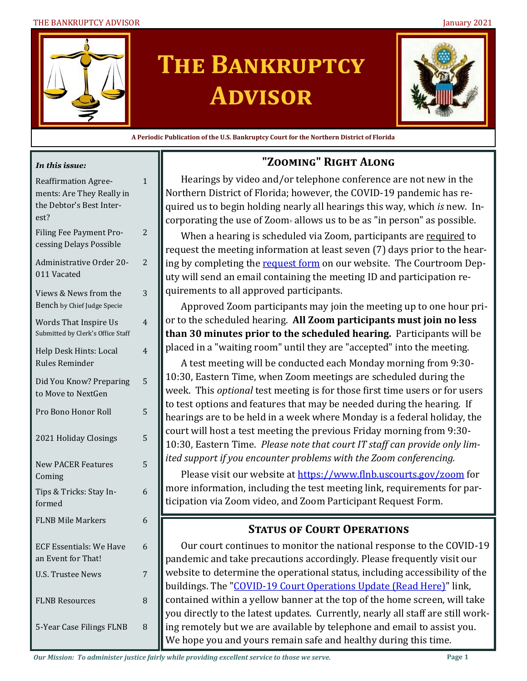#### THE BANKRUPTCY ADVISOR January 2021



# **The Bankruptcy Advisor**



**A Periodic Publication of the U.S. Bankruptcy Court for the Northern District of Florida**

#### *In this issue:*

| <b>Reaffirmation Agree-</b><br>ments: Are They Really in<br>the Debtor's Best Inter-<br>est? | $\mathbf{1}$ |
|----------------------------------------------------------------------------------------------|--------------|
| Filing Fee Payment Pro-<br>cessing Delays Possible                                           | 2            |
| Administrative Order 20-<br>011 Vacated                                                      | 2            |
| Views & News from the<br>Bench by Chief Judge Specie                                         | 3            |
| <b>Words That Inspire Us</b><br>Submitted by Clerk's Office Staff                            | 4            |
| Help Desk Hints: Local<br><b>Rules Reminder</b>                                              | 4            |
| Did You Know? Preparing<br>to Move to NextGen                                                | 5            |
| Pro Bono Honor Roll                                                                          | 5            |
| 2021 Holiday Closings                                                                        | 5            |
| <b>New PACER Features</b><br>Coming                                                          | 5            |
| Tips & Tricks: Stay In-<br>formed                                                            | 6            |
| <b>FLNB Mile Markers</b>                                                                     | 6            |
| <b>ECF Essentials: We Have</b><br>an Event for That!                                         | 6            |
| <b>U.S. Trustee News</b>                                                                     | 7            |
| <b>FLNB Resources</b>                                                                        | 8            |
| 5-Year Case Filings FLNB                                                                     | 8            |

# **"Zooming" Right Along**

Hearings by video and/or telephone conference are not new in the Northern District of Florida; however, the COVID-19 pandemic has required us to begin holding nearly all hearings this way, which *is* new. Incorporating the use of Zoom $\circ$  allows us to be as "in person" as possible.

When a hearing is scheduled via Zoom, participants are required to request the meeting information at least seven (7) days prior to the hearing by completing the [request form](https://www.flnb.uscourts.gov/zoom-participant-request) on our website. The Courtroom Deputy will send an email containing the meeting ID and participation requirements to all approved participants.

Approved Zoom participants may join the meeting up to one hour prior to the scheduled hearing. **All Zoom participants must join no less than 30 minutes prior to the scheduled hearing.** Participants will be placed in a "waiting room" until they are "accepted" into the meeting.

A test meeting will be conducted each Monday morning from 9:30- 10:30, Eastern Time, when Zoom meetings are scheduled during the week. This *optional* test meeting is for those first time users or for users to test options and features that may be needed during the hearing. If hearings are to be held in a week where Monday is a federal holiday, the court will host a test meeting the previous Friday morning from 9:30- 10:30, Eastern Time. *Please note that court IT staff can provide only limited support if you encounter problems with the Zoom conferencing.* 

Please visit our website at<https://www.flnb.uscourts.gov/zoom> for more information, including the test meeting link, requirements for participation via Zoom video, and Zoom Participant Request Form.

# **Status of Court Operations**

Our court continues to monitor the national response to the COVID-19 pandemic and take precautions accordingly. Please frequently visit our website to determine the operational status, including accessibility of the buildings. The "COVID-[19 Court Operations Update \(Read Here\)"](https://www.flnb.uscourts.gov/news/covid-19-court-operations-update) link, contained within a yellow banner at the top of the home screen, will take you directly to the latest updates. Currently, nearly all staff are still working remotely but we are available by telephone and email to assist you. We hope you and yours remain safe and healthy during this time.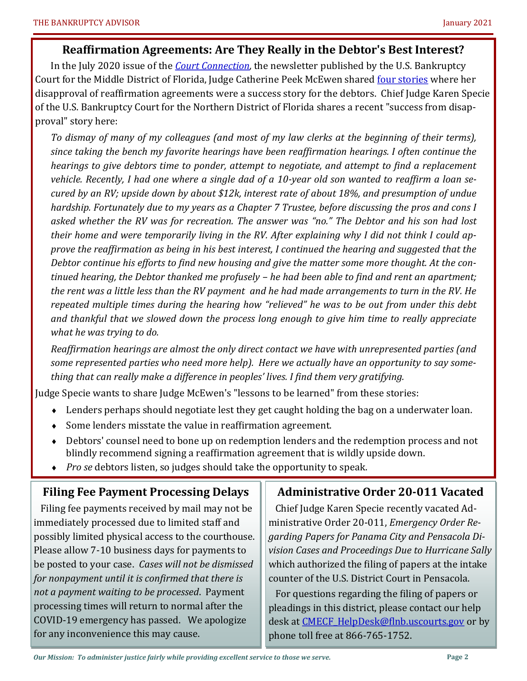#### **Reaffirmation Agreements: Are They Really in the Debtor's Best Interest?**

In the July 2020 issue of the *[Court Connection,](https://content.govdelivery.com/accounts/USFEDCOURTS/bulletins/2956166)* the newsletter published by the U.S. Bankruptcy Court for the Middle District of Florida, Judge Catherine Peek McEwen shared [four stories](http://www.flmb.uscourts.gov/newsletter/2020/July/11-CPMMakeMeSmile.pdf) where her disapproval of reaffirmation agreements were a success story for the debtors. Chief Judge Karen Specie of the U.S. Bankruptcy Court for the Northern District of Florida shares a recent "success from disapproval" story here:

*To dismay of many of my colleagues (and most of my law clerks at the beginning of their terms), since taking the bench my favorite hearings have been reaffirmation hearings. I often continue the hearings to give debtors time to ponder, attempt to negotiate, and attempt to find a replacement vehicle. Recently, I had one where a single dad of a 10-year old son wanted to reaffirm a loan secured by an RV; upside down by about \$12k, interest rate of about 18%, and presumption of undue hardship. Fortunately due to my years as a Chapter 7 Trustee, before discussing the pros and cons I asked whether the RV was for recreation. The answer was "no." The Debtor and his son had lost their home and were temporarily living in the RV. After explaining why I did not think I could approve the reaffirmation as being in his best interest, I continued the hearing and suggested that the Debtor continue his efforts to find new housing and give the matter some more thought. At the continued hearing, the Debtor thanked me profusely – he had been able to find and rent an apartment; the rent was a little less than the RV payment and he had made arrangements to turn in the RV. He repeated multiple times during the hearing how "relieved" he was to be out from under this debt and thankful that we slowed down the process long enough to give him time to really appreciate what he was trying to do.*

*Reaffirmation hearings are almost the only direct contact we have with unrepresented parties (and some represented parties who need more help). Here we actually have an opportunity to say something that can really make a difference in peoples' lives. I find them very gratifying.* 

Judge Specie wants to share Judge McEwen's "lessons to be learned" from these stories:

- Lenders perhaps should negotiate lest they get caught holding the bag on a underwater loan.
- Some lenders misstate the value in reaffirmation agreement.
- Debtors' counsel need to bone up on redemption lenders and the redemption process and not blindly recommend signing a reaffirmation agreement that is wildly upside down.
- *Pro se* debtors listen, so judges should take the opportunity to speak.

## **Filing Fee Payment Processing Delays**

 Filing fee payments received by mail may not be immediately processed due to limited staff and possibly limited physical access to the courthouse. Please allow 7-10 business days for payments to be posted to your case. *Cases will not be dismissed for nonpayment until it is confirmed that there is not a payment waiting to be processed*. Payment processing times will return to normal after the COVID-19 emergency has passed. We apologize for any inconvenience this may cause.

#### **Administrative Order 20-011 Vacated**

 Chief Judge Karen Specie recently vacated Administrative Order 20-011, *Emergency Order Regarding Papers for Panama City and Pensacola Division Cases and Proceedings Due to Hurricane Sally* which authorized the filing of papers at the intake counter of the U.S. District Court in Pensacola.

 For questions regarding the filing of papers or pleadings in this district, please contact our help desk at [CMECF\\_HelpDesk@flnb.uscourts.gov](mailto:CMECF_HelpDesk@flnb.uscourts.gov) or by phone toll free at 866-765-1752.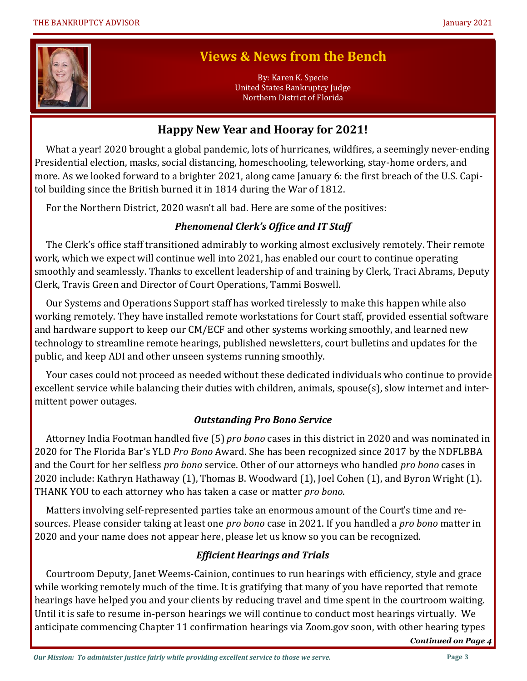

# **Views & News from the Bench**

By: Karen K. Specie United States Bankruptcy Judge Northern District of Florida

# **Happy New Year and Hooray for 2021!**

 What a year! 2020 brought a global pandemic, lots of hurricanes, wildfires, a seemingly never-ending Presidential election, masks, social distancing, homeschooling, teleworking, stay-home orders, and more. As we looked forward to a brighter 2021, along came January 6: the first breach of the U.S. Capitol building since the British burned it in 1814 during the War of 1812.

For the Northern District, 2020 wasn't all bad. Here are some of the positives:

### *Phenomenal Clerk's Office and IT Staff*

 The Clerk's office staff transitioned admirably to working almost exclusively remotely. Their remote work, which we expect will continue well into 2021, has enabled our court to continue operating smoothly and seamlessly. Thanks to excellent leadership of and training by Clerk, Traci Abrams, Deputy Clerk, Travis Green and Director of Court Operations, Tammi Boswell.

 Our Systems and Operations Support staff has worked tirelessly to make this happen while also working remotely. They have installed remote workstations for Court staff, provided essential software and hardware support to keep our CM/ECF and other systems working smoothly, and learned new technology to streamline remote hearings, published newsletters, court bulletins and updates for the public, and keep ADI and other unseen systems running smoothly.

 Your cases could not proceed as needed without these dedicated individuals who continue to provide excellent service while balancing their duties with children, animals, spouse(s), slow internet and intermittent power outages.

#### *Outstanding Pro Bono Service*

 Attorney India Footman handled five (5) *pro bono* cases in this district in 2020 and was nominated in 2020 for The Florida Bar's YLD *Pro Bono* Award. She has been recognized since 2017 by the NDFLBBA and the Court for her selfless *pro bono* service. Other of our attorneys who handled *pro bono* cases in 2020 include: Kathryn Hathaway (1), Thomas B. Woodward (1), Joel Cohen (1), and Byron Wright (1). THANK YOU to each attorney who has taken a case or matter *pro bono*.

 Matters involving self-represented parties take an enormous amount of the Court's time and resources. Please consider taking at least one *pro bono* case in 2021. If you handled a *pro bono* matter in 2020 and your name does not appear here, please let us know so you can be recognized.

#### *Efficient Hearings and Trials*

 Courtroom Deputy, Janet Weems-Cainion, continues to run hearings with efficiency, style and grace while working remotely much of the time. It is gratifying that many of you have reported that remote hearings have helped you and your clients by reducing travel and time spent in the courtroom waiting. Until it is safe to resume in-person hearings we will continue to conduct most hearings virtually. We anticipate commencing Chapter 11 confirmation hearings via Zoom.gov soon, with other hearing types

*Continued on Page 4*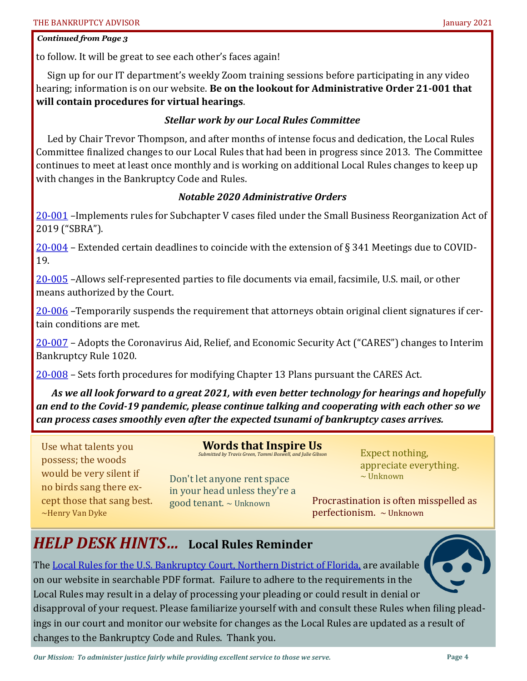#### *Continued from Page 3*

to follow. It will be great to see each other's faces again!

 Sign up for our IT department's weekly Zoom training sessions before participating in any video hearing; information is on our website. **Be on the lookout for Administrative Order 21-001 that will contain procedures for virtual hearings**.

#### *Stellar work by our Local Rules Committee*

 Led by Chair Trevor Thompson, and after months of intense focus and dedication, the Local Rules Committee finalized changes to our Local Rules that had been in progress since 2013. The Committee continues to meet at least once monthly and is working on additional Local Rules changes to keep up with changes in the Bankruptcy Code and Rules.

#### *Notable 2020 Administrative Orders*

20-[001](https://www.flnb.uscourts.gov/sites/flnb/files/general-orders/ao20_001_SBRA.pdf) - Implements rules for Subchapter V cases filed under the Small Business Reorganization Act of 2019 ("SBRA").

 $20\n-004$  $20\n-004$  – Extended certain deadlines to coincide with the extension of § 341 Meetings due to COVID-19.

20-[005](https://www.flnb.uscourts.gov/sites/flnb/files/general-orders/ao20-005.pdf) –Allows self-represented parties to file documents via email, facsimile, U.S. mail, or other means authorized by the Court.

20-[006](https://www.flnb.uscourts.gov/sites/flnb/files/general-orders/ao20-006.pdf) –Temporarily suspends the requirement that attorneys obtain original client signatures if certain conditions are met.

20-[007](https://www.flnb.uscourts.gov/sites/flnb/files/general-orders/ao20-007.pdf) – Adopts the Coronavirus Aid, Relief, and Economic Security Act ("CARES") changes to Interim Bankruptcy Rule 1020.

20-[008](https://www.flnb.uscourts.gov/sites/flnb/files/general-orders/ao20-008.pdf) – Sets forth procedures for modifying Chapter 13 Plans pursuant the CARES Act.

*As we all look forward to a great 2021, with even better technology for hearings and hopefully an end to the Covid-19 pandemic, please continue talking and cooperating with each other so we can process cases smoothly even after the expected tsunami of bankruptcy cases arrives.* 

Use what talents you possess; the woods would be very silent if no birds sang there except those that sang best. ~Henry Van Dyke

**Words that Inspire Us** *Submitted by Travis Green, Tammi Boswell, and Julie Gibson*

Don't let anyone rent space in your head unless they're a good tenant.  $\sim$  Unknown

Expect nothing, appreciate everything.  $\sim$  Unknown

Procrastination is often misspelled as perfectionism. ~ Unknown

# *HELP DESK HINTS…* **Local Rules Reminder**

The [Local Rules for the U.S. Bankruptcy Court, Northern District of Florida,](https://www.flnb.uscourts.gov/local-rules) are available on our website in searchable PDF format. Failure to adhere to the requirements in the Local Rules may result in a delay of processing your pleading or could result in denial or disapproval of your request. Please familiarize yourself with and consult these Rules when filing pleadings in our court and monitor our website for changes as the Local Rules are updated as a result of changes to the Bankruptcy Code and Rules. Thank you.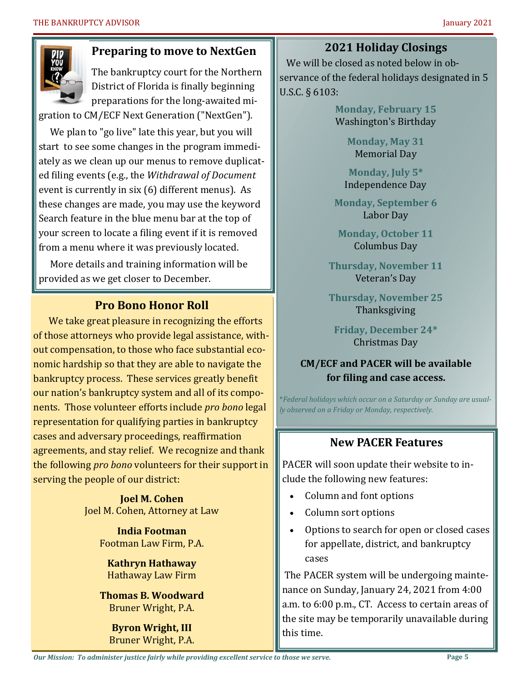

# **Preparing to move to NextGen**

The bankruptcy court for the Northern District of Florida is finally beginning preparations for the long-awaited mi-

gration to CM/ECF Next Generation ("NextGen").

 We plan to "go live" late this year, but you will start to see some changes in the program immediately as we clean up our menus to remove duplicated filing events (e.g., the *Withdrawal of Document*  event is currently in six (6) different menus). As these changes are made, you may use the keyword Search feature in the blue menu bar at the top of your screen to locate a filing event if it is removed from a menu where it was previously located.

 More details and training information will be provided as we get closer to December.

# **Pro Bono Honor Roll**

We take great pleasure in recognizing the efforts of those attorneys who provide legal assistance, without compensation, to those who face substantial economic hardship so that they are able to navigate the bankruptcy process. These services greatly benefit our nation's bankruptcy system and all of its components. Those volunteer efforts include *pro bono* legal representation for qualifying parties in bankruptcy cases and adversary proceedings, reaffirmation agreements, and stay relief. We recognize and thank the following *pro bono* volunteers for their support in serving the people of our district:

> **Joel M. Cohen** Joel M. Cohen, Attorney at Law

> > **India Footman** Footman Law Firm, P.A.

**Kathryn Hathaway** Hathaway Law Firm

**Thomas B. Woodward** Bruner Wright, P.A.

**Byron Wright, III** Bruner Wright, P.A. **2021 Holiday Closings**

 We will be closed as noted below in observance of the federal holidays designated in 5 U.S.C. § 6103:

> **Monday, February 15** Washington's Birthday

> > **Monday, May 31** Memorial Day

**Monday, July 5\*** Independence Day

**Monday, September 6** Labor Day

**Monday, October 11** Columbus Day

**Thursday, November 11** Veteran's Day

**Thursday, November 25** Thanksgiving

**Friday, December 24\*** Christmas Day

# **CM/ECF and PACER will be available for filing and case access.**

\**Federal holidays which occur on a Saturday or Sunday are usually observed on a Friday or Monday, respectively.*

# **New PACER Features**

PACER will soon update their website to include the following new features:

- Column and font options
- Column sort options
- Options to search for open or closed cases for appellate, district, and bankruptcy cases

The PACER system will be undergoing maintenance on Sunday, January 24, 2021 from 4:00 a.m. to 6:00 p.m., CT. Access to certain areas of the site may be temporarily unavailable during this time.

*Our Mission: To administer justice fairly while providing excellent service to those we serve.*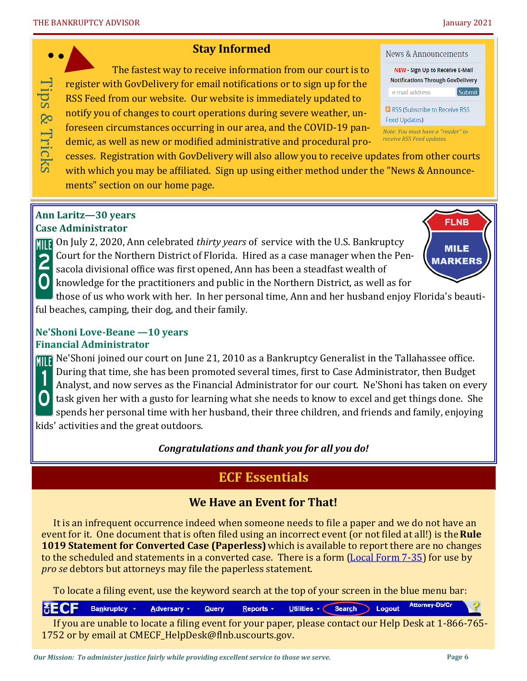#### **Stay Informed**

The fastest way to receive information from our court is to register with GovDelivery for email notifications or to sign up for the RSS Feed from our website. Our website is immediately updated to notify you of changes to court operations during severe weather, unforeseen circumstances occurring in our area, and the COVID-19 pandemic, as well as new or modified administrative and procedural pro-

- cesses. Registration with GovDelivery will also allow you to receive updates from other courts
- with which you may be affiliated. Sign up using either method under the "News & Announcements" section on our home page.

#### **Ann Laritz—30 years Case Administrator**

Tips & Tricks

Tips & Tricks

On July 2, 2020, Ann celebrated *thirty years* of service with the U.S. Bankruptcy Court for the Northern District of Florida. Hired as a case manager when the Pen-2 sacola divisional office was first opened, Ann has been a steadfast wealth of

knowledge for the practitioners and public in the Northern District, as well as for

those of us who work with her. In her personal time, Ann and her husband enjoy Florida's beautiful beaches, camping, their dog, and their family.

#### **Ne'Shoni Love-Beane —10 years Financial Administrator**

**Ne'Shoni joined our court on June 21, 2010 as a Bankruptcy Generalist in the Tallahassee office.** During that time, she has been promoted several times, first to Case Administrator, then Budget Analyst, and now serves as the Financial Administrator for our court. Ne'Shoni has taken on every task given her with a gusto for learning what she needs to know to excel and get things done. She spends her personal time with her husband, their three children, and friends and family, enjoying kids' activities and the great outdoors.

## *Congratulations and thank you for all you do!*

# **ECF Essentials**

# **We Have an Event for That!**

It is an infrequent occurrence indeed when someone needs to file a paper and we do not have an event for it. One document that is often filed using an incorrect event (or not filed at all!) is the **Rule 1019 Statement for Converted Case (Paperless)** which is available to report there are no changes to the scheduled and statements in a converted case. There is a form [\(Local Form 7](https://www.flnb.uscourts.gov/sites/flnb/files/forms/lf35.pdf)-35) for use by *pro se* debtors but attorneys may file the paperless statement.

To locate a filing event, use the keyword search at the top of your screen in the blue menu bar:

Attorney-Db/Cr **SECF** Bankruptcy + Utilities  $\sqrt{\phantom{a}}$  Search Adversary + Query Reports  $\sim$ Logout

If you are unable to locate a filing event for your paper, please contact our Help Desk at 1-866-765- 1752 or by email at CMECF HelpDesk@flnb.uscourts.gov.





*Note: You must have a "reader" to receive RSS Feed updates.*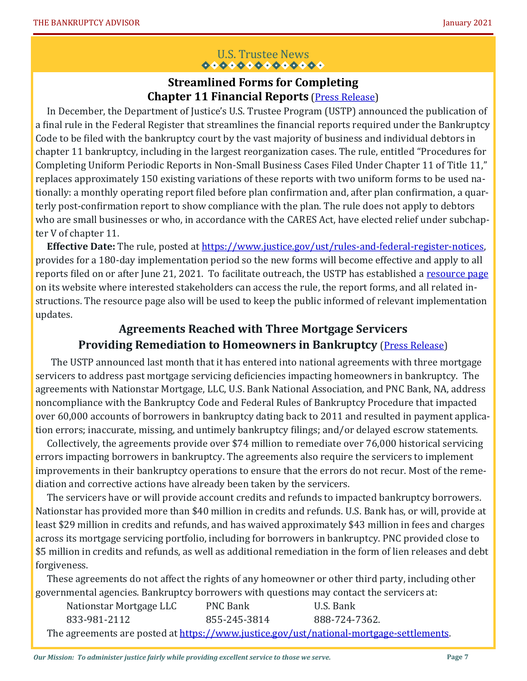# U.S. Trustee News<br>  $\bullet \bullet \bullet \bullet \bullet \bullet \bullet \bullet \bullet \bullet \bullet \bullet \bullet$

## **Streamlined Forms for Completing Chapter 11 Financial Reports** [\(Press Release\)](https://content.govdelivery.com/attachments/USFEDCOURTS/2021/01/15/file_attachments/1660129/USTP%20Press%20Release%20Pub%20Final%20Rule%20on%20Non-Small%20Bus%20Ch%2011%20MORs%20122120.pdf)

 In December, the Department of Justice's U.S. Trustee Program (USTP) announced the publication of a final rule in the Federal Register that streamlines the financial reports required under the Bankruptcy Code to be filed with the bankruptcy court by the vast majority of business and individual debtors in chapter 11 bankruptcy, including in the largest reorganization cases. The rule, entitled "Procedures for Completing Uniform Periodic Reports in Non-Small Business Cases Filed Under Chapter 11 of Title 11," replaces approximately 150 existing variations of these reports with two uniform forms to be used nationally: a monthly operating report filed before plan confirmation and, after plan confirmation, a quarterly post-confirmation report to show compliance with the plan. The rule does not apply to debtors who are small businesses or who, in accordance with the CARES Act, have elected relief under subchapter V of chapter 11.

 **Effective Date:** The rule, posted at [https://www.justice.gov/ust/rules](https://www.justice.gov/ust/rules-and-federal-register-notices)-and-federal-register-notices, provides for a 180-day implementation period so the new forms will become effective and apply to all reports filed on or after June 21, 2021. To facilitate outreach, the USTP has established a [resource page](https://www.justice.gov/ust/chapter-11-operating-reports) on its website where interested stakeholders can access the rule, the report forms, and all related instructions. The resource page also will be used to keep the public informed of relevant implementation updates.

# **Agreements Reached with Three Mortgage Servicers Providing Remediation to Homeowners in Bankruptcy [\(Press Release\)](https://content.govdelivery.com/attachments/USFEDCOURTS/2021/01/15/file_attachments/1660128/USTP%20Press%20Release%20Mtg%20Settlemt%20With%20Nationstar%20US%20Bank%20and%20PNC%20Bank%20Dec%207%202020.pdf)**

The USTP announced last month that it has entered into national agreements with three mortgage servicers to address past mortgage servicing deficiencies impacting homeowners in bankruptcy. The agreements with Nationstar Mortgage, LLC, U.S. Bank National Association, and PNC Bank, NA, address noncompliance with the Bankruptcy Code and Federal Rules of Bankruptcy Procedure that impacted over 60,000 accounts of borrowers in bankruptcy dating back to 2011 and resulted in payment application errors; inaccurate, missing, and untimely bankruptcy filings; and/or delayed escrow statements.

 Collectively, the agreements provide over \$74 million to remediate over 76,000 historical servicing errors impacting borrowers in bankruptcy. The agreements also require the servicers to implement improvements in their bankruptcy operations to ensure that the errors do not recur. Most of the remediation and corrective actions have already been taken by the servicers.

 The servicers have or will provide account credits and refunds to impacted bankruptcy borrowers. Nationstar has provided more than \$40 million in credits and refunds. U.S. Bank has, or will, provide at least \$29 million in credits and refunds, and has waived approximately \$43 million in fees and charges across its mortgage servicing portfolio, including for borrowers in bankruptcy. PNC provided close to \$5 million in credits and refunds, as well as additional remediation in the form of lien releases and debt forgiveness.

 These agreements do not affect the rights of any homeowner or other third party, including other governmental agencies. Bankruptcy borrowers with questions may contact the servicers at:

| Nationstar Mortgage LLC | <b>PNC Bank</b> | U.S. Bank                                                                               |
|-------------------------|-----------------|-----------------------------------------------------------------------------------------|
| 833-981-2112            | 855-245-3814    | 888-724-7362.                                                                           |
|                         |                 | The agreements are posted at https://www.justice.gov/ust/national-mortgage-settlements. |